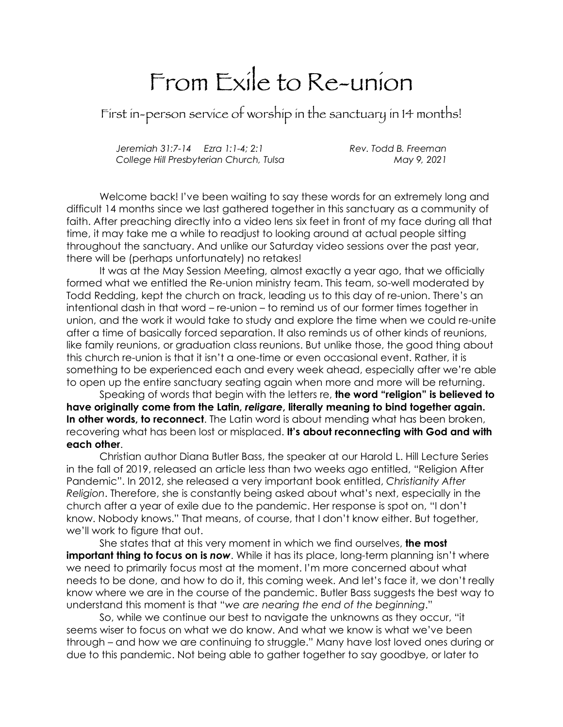## From Exile to Re-union

First in-person service of worship in the sanctuary in 14 months!

*Jeremiah 31:7-14 Ezra 1:1-4; 2:1 Rev. Todd B. Freeman College Hill Presbyterian Church, Tulsa May 9, 2021*

Welcome back! I've been waiting to say these words for an extremely long and difficult 14 months since we last gathered together in this sanctuary as a community of faith. After preaching directly into a video lens six feet in front of my face during all that time, it may take me a while to readjust to looking around at actual people sitting throughout the sanctuary. And unlike our Saturday video sessions over the past year, there will be (perhaps unfortunately) no retakes!

It was at the May Session Meeting, almost exactly a year ago, that we officially formed what we entitled the Re-union ministry team. This team, so-well moderated by Todd Redding, kept the church on track, leading us to this day of re-union. There's an intentional dash in that word – re-union – to remind us of our former times together in union, and the work it would take to study and explore the time when we could re-unite after a time of basically forced separation. It also reminds us of other kinds of reunions, like family reunions, or graduation class reunions. But unlike those, the good thing about this church re-union is that it isn't a one-time or even occasional event. Rather, it is something to be experienced each and every week ahead, especially after we're able to open up the entire sanctuary seating again when more and more will be returning.

Speaking of words that begin with the letters re, **the word "religion" is believed to have originally come from the Latin,** *religare***, literally meaning to bind together again. In other words, to reconnect**. The Latin word is about mending what has been broken, recovering what has been lost or misplaced. **It's about reconnecting with God and with each other**.

Christian author Diana Butler Bass, the speaker at our Harold L. Hill Lecture Series in the fall of 2019, released an article less than two weeks ago entitled, "Religion After Pandemic". In 2012, she released a very important book entitled, *Christianity After Religion*. Therefore, she is constantly being asked about what's next, especially in the church after a year of exile due to the pandemic. Her response is spot on, "I don't know. Nobody knows." That means, of course, that I don't know either. But together, we'll work to figure that out.

She states that at this very moment in which we find ourselves, **the most important thing to focus on is now**. While it has its place, long-term planning isn't where we need to primarily focus most at the moment. I'm more concerned about what needs to be done, and how to do it, this coming week. And let's face it, we don't really know where we are in the course of the pandemic. Butler Bass suggests the best way to understand this moment is that "*we are nearing the end of the beginning*."

So, while we continue our best to navigate the unknowns as they occur, "it seems wiser to focus on what we do know. And what we know is what we've been through – and how we are continuing to struggle." Many have lost loved ones during or due to this pandemic. Not being able to gather together to say goodbye, or later to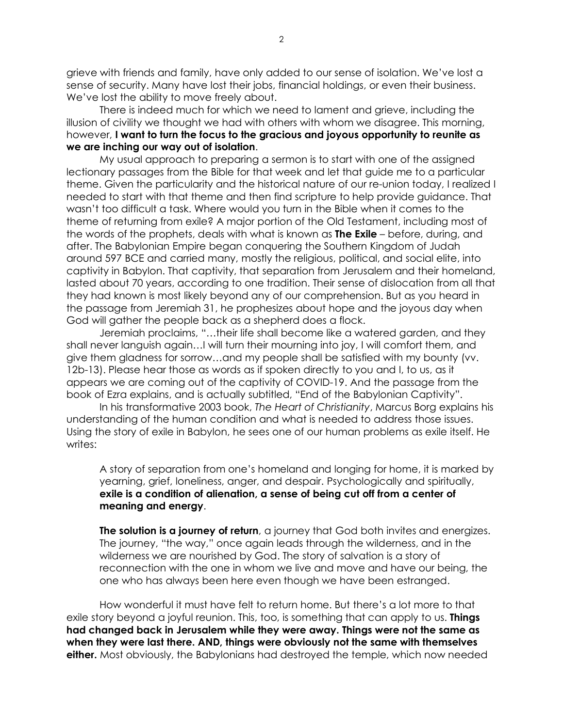grieve with friends and family, have only added to our sense of isolation. We've lost a sense of security. Many have lost their jobs, financial holdings, or even their business. We've lost the ability to move freely about.

There is indeed much for which we need to lament and grieve, including the illusion of civility we thought we had with others with whom we disagree. This morning, however, **I want to turn the focus to the gracious and joyous opportunity to reunite as we are inching our way out of isolation**.

My usual approach to preparing a sermon is to start with one of the assigned lectionary passages from the Bible for that week and let that guide me to a particular theme. Given the particularity and the historical nature of our re-union today, I realized I needed to start with that theme and then find scripture to help provide guidance. That wasn't too difficult a task. Where would you turn in the Bible when it comes to the theme of returning from exile? A major portion of the Old Testament, including most of the words of the prophets, deals with what is known as **The Exile** – before, during, and after. The Babylonian Empire began conquering the Southern Kingdom of Judah around 597 BCE and carried many, mostly the religious, political, and social elite, into captivity in Babylon. That captivity, that separation from Jerusalem and their homeland, lasted about 70 years, according to one tradition. Their sense of dislocation from all that they had known is most likely beyond any of our comprehension. But as you heard in the passage from Jeremiah 31, he prophesizes about hope and the joyous day when God will gather the people back as a shepherd does a flock.

Jeremiah proclaims, "…their life shall become like a watered garden, and they shall never languish again…I will turn their mourning into joy, I will comfort them, and give them gladness for sorrow…and my people shall be satisfied with my bounty (vv. 12b-13). Please hear those as words as if spoken directly to you and I, to us, as it appears we are coming out of the captivity of COVID-19. And the passage from the book of Ezra explains, and is actually subtitled, "End of the Babylonian Captivity".

In his transformative 2003 book, *The Heart of Christianity*, Marcus Borg explains his understanding of the human condition and what is needed to address those issues. Using the story of exile in Babylon, he sees one of our human problems as exile itself. He writes:

A story of separation from one's homeland and longing for home, it is marked by yearning, grief, loneliness, anger, and despair. Psychologically and spiritually, **exile is a condition of alienation, a sense of being cut off from a center of meaning and energy**.

**The solution is a journey of return**, a journey that God both invites and energizes. The journey, "the way," once again leads through the wilderness, and in the wilderness we are nourished by God. The story of salvation is a story of reconnection with the one in whom we live and move and have our being, the one who has always been here even though we have been estranged.

How wonderful it must have felt to return home. But there's a lot more to that exile story beyond a joyful reunion. This, too, is something that can apply to us. **Things had changed back in Jerusalem while they were away. Things were not the same as when they were last there. AND, things were obviously not the same with themselves either.** Most obviously, the Babylonians had destroyed the temple, which now needed